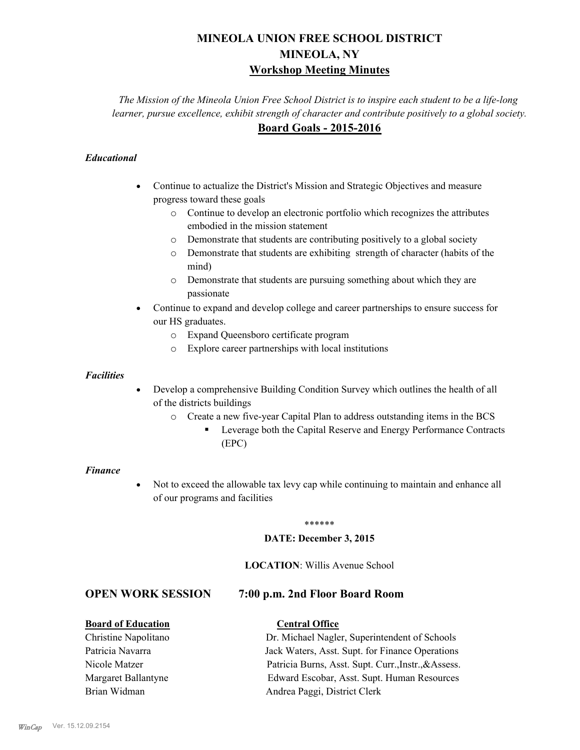# **MINEOLA UNION FREE SCHOOL DISTRICT MINEOLA, NY Workshop Meeting Minutes**

*The Mission of the Mineola Union Free School District is to inspire each student to be a life-long learner, pursue excellence, exhibit strength of character and contribute positively to a global society.* **Board Goals - 2015-2016**

#### *Educational*

- · Continue to actualize the District's Mission and Strategic Objectives and measure progress toward these goals
	- o Continue to develop an electronic portfolio which recognizes the attributes embodied in the mission statement
	- o Demonstrate that students are contributing positively to a global society
	- o Demonstrate that students are exhibiting strength of character (habits of the mind)
	- o Demonstrate that students are pursuing something about which they are passionate
- Continue to expand and develop college and career partnerships to ensure success for our HS graduates.
	- o Expand Queensboro certificate program
	- o Explore career partnerships with local institutions

#### *Facilities*

- Develop a comprehensive Building Condition Survey which outlines the health of all of the districts buildings
	- o Create a new five-year Capital Plan to address outstanding items in the BCS
		- § Leverage both the Capital Reserve and Energy Performance Contracts (EPC)

#### *Finance*

• Not to exceed the allowable tax levy cap while continuing to maintain and enhance all of our programs and facilities

#### \*\*\*\*\*\*

#### **DATE: December 3, 2015**

#### **LOCATION**: Willis Avenue School

## **OPEN WORK SESSION 7:00 p.m. 2nd Floor Board Room**

#### **Board of Education Central Office**

Christine Napolitano Dr. Michael Nagler, Superintendent of Schools Patricia Navarra Jack Waters, Asst. Supt. for Finance Operations Nicole Matzer Patricia Burns, Asst. Supt. Curr.,Instr.,&Assess. Margaret Ballantyne Edward Escobar, Asst. Supt. Human Resources Brian Widman **Andrea Paggi, District Clerk**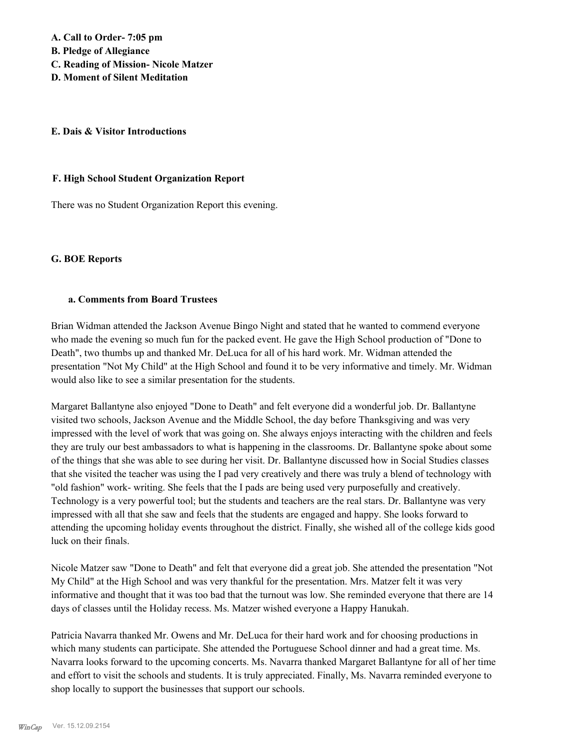**A. Call to Order- 7:05 pm** 

**B. Pledge of Allegiance**

- **C. Reading of Mission- Nicole Matzer**
- **D. Moment of Silent Meditation**

#### **E. Dais & Visitor Introductions**

#### **F. High School Student Organization Report**

There was no Student Organization Report this evening.

#### **G. BOE Reports**

#### **a. Comments from Board Trustees**

Brian Widman attended the Jackson Avenue Bingo Night and stated that he wanted to commend everyone who made the evening so much fun for the packed event. He gave the High School production of "Done to Death", two thumbs up and thanked Mr. DeLuca for all of his hard work. Mr. Widman attended the presentation "Not My Child" at the High School and found it to be very informative and timely. Mr. Widman would also like to see a similar presentation for the students.

Margaret Ballantyne also enjoyed "Done to Death" and felt everyone did a wonderful job. Dr. Ballantyne visited two schools, Jackson Avenue and the Middle School, the day before Thanksgiving and was very impressed with the level of work that was going on. She always enjoys interacting with the children and feels they are truly our best ambassadors to what is happening in the classrooms. Dr. Ballantyne spoke about some of the things that she was able to see during her visit. Dr. Ballantyne discussed how in Social Studies classes that she visited the teacher was using the I pad very creatively and there was truly a blend of technology with "old fashion" work- writing. She feels that the I pads are being used very purposefully and creatively. Technology is a very powerful tool; but the students and teachers are the real stars. Dr. Ballantyne was very impressed with all that she saw and feels that the students are engaged and happy. She looks forward to attending the upcoming holiday events throughout the district. Finally, she wished all of the college kids good luck on their finals.

Nicole Matzer saw "Done to Death" and felt that everyone did a great job. She attended the presentation "Not My Child" at the High School and was very thankful for the presentation. Mrs. Matzer felt it was very informative and thought that it was too bad that the turnout was low. She reminded everyone that there are 14 days of classes until the Holiday recess. Ms. Matzer wished everyone a Happy Hanukah.

Patricia Navarra thanked Mr. Owens and Mr. DeLuca for their hard work and for choosing productions in which many students can participate. She attended the Portuguese School dinner and had a great time. Ms. Navarra looks forward to the upcoming concerts. Ms. Navarra thanked Margaret Ballantyne for all of her time and effort to visit the schools and students. It is truly appreciated. Finally, Ms. Navarra reminded everyone to shop locally to support the businesses that support our schools.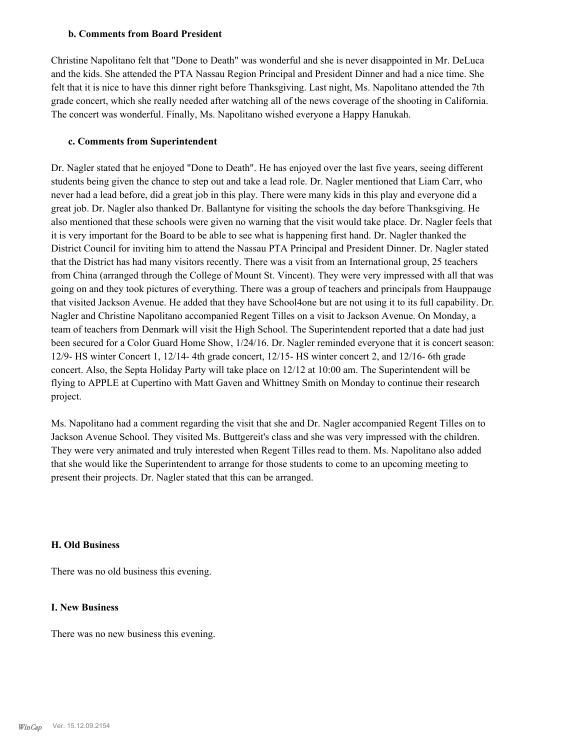#### **b. Comments from Board President**

Christine Napolitano felt that "Done to Death" was wonderful and she is never disappointed in Mr. DeLuca and the kids. She attended the PTA Nassau Region Principal and President Dinner and had a nice time. She felt that it is nice to have this dinner right before Thanksgiving. Last night, Ms. Napolitano attended the 7th grade concert, which she really needed after watching all of the news coverage of the shooting in California. The concert was wonderful. Finally, Ms. Napolitano wished everyone a Happy Hanukah.

#### **c. Comments from Superintendent**

Dr. Nagler stated that he enjoyed "Done to Death". He has enjoyed over the last five years, seeing different students being given the chance to step out and take a lead role. Dr. Nagler mentioned that Liam Carr, who never had a lead before, did a great job in this play. There were many kids in this play and everyone did a great job. Dr. Nagler also thanked Dr. Ballantyne for visiting the schools the day before Thanksgiving. He also mentioned that these schools were given no warning that the visit would take place. Dr. Nagler feels that it is very important for the Board to be able to see what is happening first hand. Dr. Nagler thanked the District Council for inviting him to attend the Nassau PTA Principal and President Dinner. Dr. Nagler stated that the District has had many visitors recently. There was a visit from an International group, 25 teachers from China (arranged through the College of Mount St. Vincent). They were very impressed with all that was going on and they took pictures of everything. There was a group of teachers and principals from Hauppauge that visited Jackson Avenue. He added that they have School4one but are not using it to its full capability. Dr. Nagler and Christine Napolitano accompanied Regent Tilles on a visit to Jackson Avenue. On Monday, a team of teachers from Denmark will visit the High School. The Superintendent reported that a date had just been secured for a Color Guard Home Show, 1/24/16. Dr. Nagler reminded everyone that it is concert season: 12/9- HS winter Concert 1, 12/14- 4th grade concert, 12/15- HS winter concert 2, and 12/16- 6th grade concert. Also, the Septa Holiday Party will take place on 12/12 at 10:00 am. The Superintendent will be flying to APPLE at Cupertino with Matt Gaven and Whittney Smith on Monday to continue their research project.

Ms. Napolitano had a comment regarding the visit that she and Dr. Nagler accompanied Regent Tilles on to Jackson Avenue School. They visited Ms. Buttgereit's class and she was very impressed with the children. They were very animated and truly interested when Regent Tilles read to them. Ms. Napolitano also added that she would like the Superintendent to arrange for those students to come to an upcoming meeting to present their projects. Dr. Nagler stated that this can be arranged.

#### **H. Old Business**

There was no old business this evening.

#### **I. New Business**

There was no new business this evening.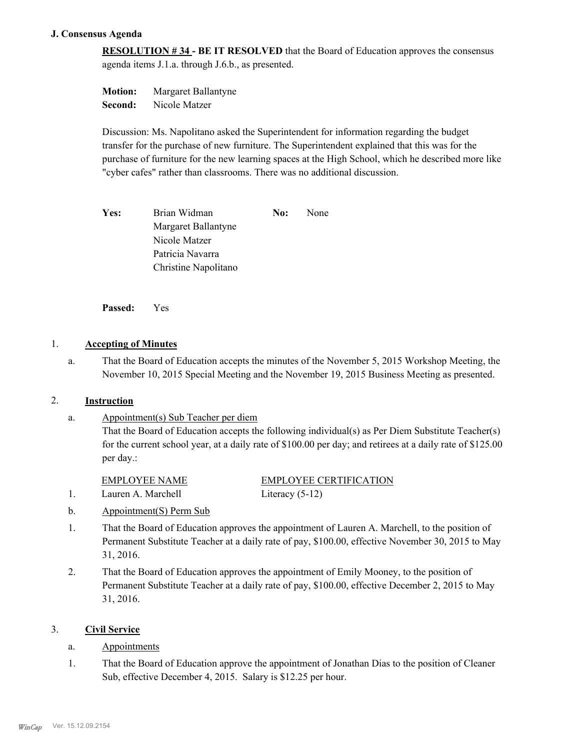#### **J. Consensus Agenda**

**RESOLUTION # 34 - BE IT RESOLVED** that the Board of Education approves the consensus agenda items J.1.a. through J.6.b., as presented.

**Motion:** Margaret Ballantyne **Second:** Nicole Matzer

Discussion: Ms. Napolitano asked the Superintendent for information regarding the budget transfer for the purchase of new furniture. The Superintendent explained that this was for the purchase of furniture for the new learning spaces at the High School, which he described more like "cyber cafes" rather than classrooms. There was no additional discussion.

Yes: Brian Widman **No:** None Margaret Ballantyne Nicole Matzer Patricia Navarra Christine Napolitano

**Passed:** Yes

### 1. **Accepting of Minutes**

That the Board of Education accepts the minutes of the November 5, 2015 Workshop Meeting, the November 10, 2015 Special Meeting and the November 19, 2015 Business Meeting as presented. a.

#### 2. **Instruction**

Appointment(s) Sub Teacher per diem That the Board of Education accepts the following individual(s) as Per Diem Substitute Teacher(s) for the current school year, at a daily rate of \$100.00 per day; and retirees at a daily rate of \$125.00 per day.: a.

EMPLOYEE CERTIFICATION 1. Lauren A. Marchell Literacy (5-12)

- b. Appointment(S) Perm Sub
- That the Board of Education approves the appointment of Lauren A. Marchell, to the position of Permanent Substitute Teacher at a daily rate of pay, \$100.00, effective November 30, 2015 to May 31, 2016. 1.
- That the Board of Education approves the appointment of Emily Mooney, to the position of Permanent Substitute Teacher at a daily rate of pay, \$100.00, effective December 2, 2015 to May 31, 2016. 2.

#### 3. **Civil Service**

- a. Appointments
- That the Board of Education approve the appointment of Jonathan Dias to the position of Cleaner Sub, effective December 4, 2015. Salary is \$12.25 per hour. 1.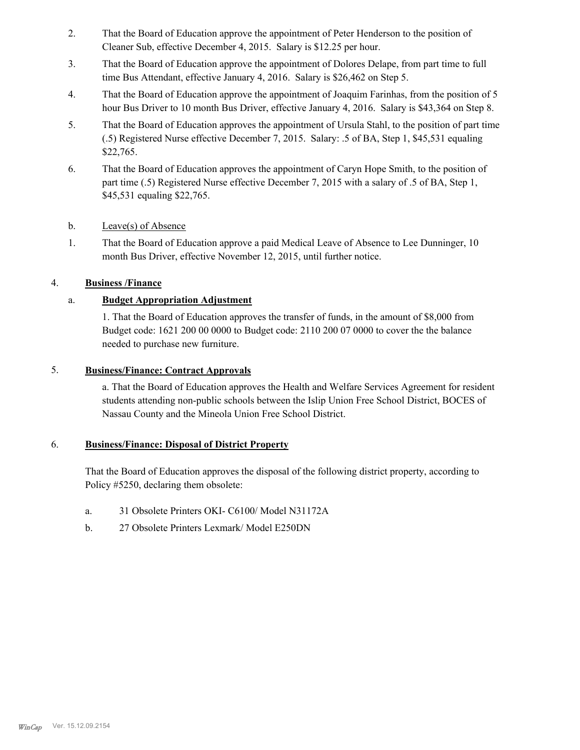- That the Board of Education approve the appointment of Peter Henderson to the position of Cleaner Sub, effective December 4, 2015. Salary is \$12.25 per hour. 2.
- That the Board of Education approve the appointment of Dolores Delape, from part time to full time Bus Attendant, effective January 4, 2016. Salary is \$26,462 on Step 5. 3.
- That the Board of Education approve the appointment of Joaquim Farinhas, from the position of 5 hour Bus Driver to 10 month Bus Driver, effective January 4, 2016. Salary is \$43,364 on Step 8. 4.
- That the Board of Education approves the appointment of Ursula Stahl, to the position of part time (.5) Registered Nurse effective December 7, 2015. Salary: .5 of BA, Step 1, \$45,531 equaling \$22,765. 5.
- That the Board of Education approves the appointment of Caryn Hope Smith, to the position of part time (.5) Registered Nurse effective December 7, 2015 with a salary of .5 of BA, Step 1, \$45,531 equaling \$22,765. 6.
- b. Leave(s) of Absence
- That the Board of Education approve a paid Medical Leave of Absence to Lee Dunninger, 10 month Bus Driver, effective November 12, 2015, until further notice. 1.

#### 4. **Business /Finance**

## a. **Budget Appropriation Adjustment**

1. That the Board of Education approves the transfer of funds, in the amount of \$8,000 from Budget code: 1621 200 00 0000 to Budget code: 2110 200 07 0000 to cover the the balance needed to purchase new furniture.

#### 5. **Business/Finance: Contract Approvals**

a. That the Board of Education approves the Health and Welfare Services Agreement for resident students attending non-public schools between the Islip Union Free School District, BOCES of Nassau County and the Mineola Union Free School District.

#### **Business/Finance: Disposal of District Property** 6.

That the Board of Education approves the disposal of the following district property, according to Policy #5250, declaring them obsolete:

- a. 31 Obsolete Printers OKI- C6100/ Model N31172A
- b. 27 Obsolete Printers Lexmark/ Model E250DN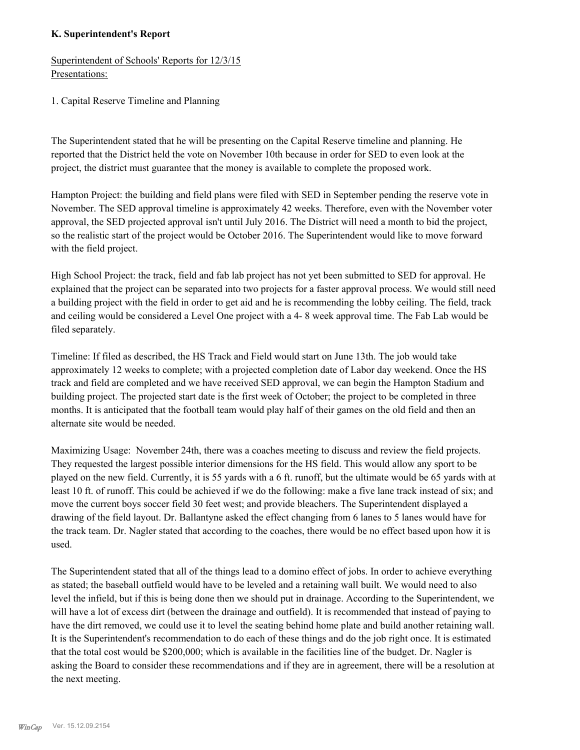#### **K. Superintendent's Report**

Superintendent of Schools' Reports for 12/3/15 Presentations:

1. Capital Reserve Timeline and Planning

The Superintendent stated that he will be presenting on the Capital Reserve timeline and planning. He reported that the District held the vote on November 10th because in order for SED to even look at the project, the district must guarantee that the money is available to complete the proposed work.

Hampton Project: the building and field plans were filed with SED in September pending the reserve vote in November. The SED approval timeline is approximately 42 weeks. Therefore, even with the November voter approval, the SED projected approval isn't until July 2016. The District will need a month to bid the project, so the realistic start of the project would be October 2016. The Superintendent would like to move forward with the field project.

High School Project: the track, field and fab lab project has not yet been submitted to SED for approval. He explained that the project can be separated into two projects for a faster approval process. We would still need a building project with the field in order to get aid and he is recommending the lobby ceiling. The field, track and ceiling would be considered a Level One project with a 4- 8 week approval time. The Fab Lab would be filed separately.

Timeline: If filed as described, the HS Track and Field would start on June 13th. The job would take approximately 12 weeks to complete; with a projected completion date of Labor day weekend. Once the HS track and field are completed and we have received SED approval, we can begin the Hampton Stadium and building project. The projected start date is the first week of October; the project to be completed in three months. It is anticipated that the football team would play half of their games on the old field and then an alternate site would be needed.

Maximizing Usage: November 24th, there was a coaches meeting to discuss and review the field projects. They requested the largest possible interior dimensions for the HS field. This would allow any sport to be played on the new field. Currently, it is 55 yards with a 6 ft. runoff, but the ultimate would be 65 yards with at least 10 ft. of runoff. This could be achieved if we do the following: make a five lane track instead of six; and move the current boys soccer field 30 feet west; and provide bleachers. The Superintendent displayed a drawing of the field layout. Dr. Ballantyne asked the effect changing from 6 lanes to 5 lanes would have for the track team. Dr. Nagler stated that according to the coaches, there would be no effect based upon how it is used.

The Superintendent stated that all of the things lead to a domino effect of jobs. In order to achieve everything as stated; the baseball outfield would have to be leveled and a retaining wall built. We would need to also level the infield, but if this is being done then we should put in drainage. According to the Superintendent, we will have a lot of excess dirt (between the drainage and outfield). It is recommended that instead of paying to have the dirt removed, we could use it to level the seating behind home plate and build another retaining wall. It is the Superintendent's recommendation to do each of these things and do the job right once. It is estimated that the total cost would be \$200,000; which is available in the facilities line of the budget. Dr. Nagler is asking the Board to consider these recommendations and if they are in agreement, there will be a resolution at the next meeting.